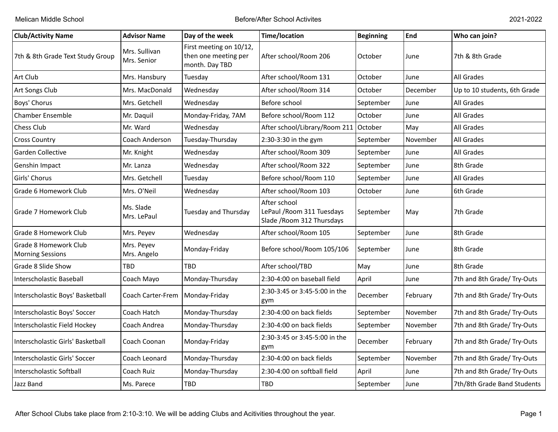| <b>Club/Activity Name</b>                        | <b>Advisor Name</b>          | Day of the week                                                   | <b>Time/location</b>                                                     | <b>Beginning</b> | End      | Who can join?                |
|--------------------------------------------------|------------------------------|-------------------------------------------------------------------|--------------------------------------------------------------------------|------------------|----------|------------------------------|
| 7th & 8th Grade Text Study Group                 | Mrs. Sullivan<br>Mrs. Senior | First meeting on 10/12,<br>then one meeting per<br>month. Day TBD | After school/Room 206                                                    | October          | June     | 7th & 8th Grade              |
| Art Club                                         | Mrs. Hansbury                | Tuesday                                                           | After school/Room 131                                                    | October          | June     | All Grades                   |
| Art Songs Club                                   | Mrs. MacDonald               | Wednesday                                                         | After school/Room 314                                                    | October          | December | Up to 10 students, 6th Grade |
| Boys' Chorus                                     | Mrs. Getchell                | Wednesday                                                         | Before school                                                            | September        | June     | All Grades                   |
| <b>Chamber Ensemble</b>                          | Mr. Daquil                   | Monday-Friday, 7AM                                                | Before school/Room 112                                                   | October          | June     | All Grades                   |
| Chess Club                                       | Mr. Ward                     | Wednesday                                                         | After school/Library/Room 211                                            | October          | May      | All Grades                   |
| <b>Cross Country</b>                             | Coach Anderson               | Tuesday-Thursday                                                  | 2:30-3:30 in the gym                                                     | September        | November | All Grades                   |
| Garden Collective                                | Mr. Knight                   | Wednesday                                                         | After school/Room 309                                                    | September        | June     | All Grades                   |
| Genshin Impact                                   | Mr. Lanza                    | Wednesday                                                         | After school/Room 322                                                    | September        | June     | 8th Grade                    |
| Girls' Chorus                                    | Mrs. Getchell                | Tuesday                                                           | Before school/Room 110                                                   | September        | June     | All Grades                   |
| Grade 6 Homework Club                            | Mrs. O'Neil                  | Wednesday                                                         | After school/Room 103                                                    | October          | June     | 6th Grade                    |
| Grade 7 Homework Club                            | Ms. Slade<br>Mrs. LePaul     | Tuesday and Thursday                                              | After school<br>LePaul / Room 311 Tuesdays<br>Slade / Room 312 Thursdays | September        | May      | 7th Grade                    |
| Grade 8 Homework Club                            | Mrs. Peyev                   | Wednesday                                                         | After school/Room 105                                                    | September        | June     | 8th Grade                    |
| Grade 8 Homework Club<br><b>Morning Sessions</b> | Mrs. Peyev<br>Mrs. Angelo    | Monday-Friday                                                     | Before school/Room 105/106                                               | September        | June     | 8th Grade                    |
| Grade 8 Slide Show                               | TBD                          | <b>TBD</b>                                                        | After school/TBD                                                         | May              | June     | 8th Grade                    |
| Interscholastic Baseball                         | Coach Mayo                   | Monday-Thursday                                                   | 2:30-4:00 on baseball field                                              | April            | June     | 7th and 8th Grade/ Try-Outs  |
| Interscholastic Boys' Basketball                 | Coach Carter-Frem            | Monday-Friday                                                     | 2:30-3:45 or 3:45-5:00 in the<br>gym                                     | December         | February | 7th and 8th Grade/ Try-Outs  |
| Interscholastic Boys' Soccer                     | Coach Hatch                  | Monday-Thursday                                                   | 2:30-4:00 on back fields                                                 | September        | November | 7th and 8th Grade/ Try-Outs  |
| Interscholastic Field Hockey                     | Coach Andrea                 | Monday-Thursday                                                   | 2:30-4:00 on back fields                                                 | September        | November | 7th and 8th Grade/ Try-Outs  |
| Interscholastic Girls' Basketball                | Coach Coonan                 | Monday-Friday                                                     | 2:30-3:45 or 3:45-5:00 in the<br>gym                                     | December         | February | 7th and 8th Grade/ Try-Outs  |
| Interscholastic Girls' Soccer                    | Coach Leonard                | Monday-Thursday                                                   | 2:30-4:00 on back fields                                                 | September        | November | 7th and 8th Grade/ Try-Outs  |
| Interscholastic Softball                         | Coach Ruiz                   | Monday-Thursday                                                   | 2:30-4:00 on softball field                                              | April            | June     | 7th and 8th Grade/ Try-Outs  |
| Jazz Band                                        | Ms. Parece                   | TBD                                                               | <b>TBD</b>                                                               | September        | June     | 7th/8th Grade Band Students  |